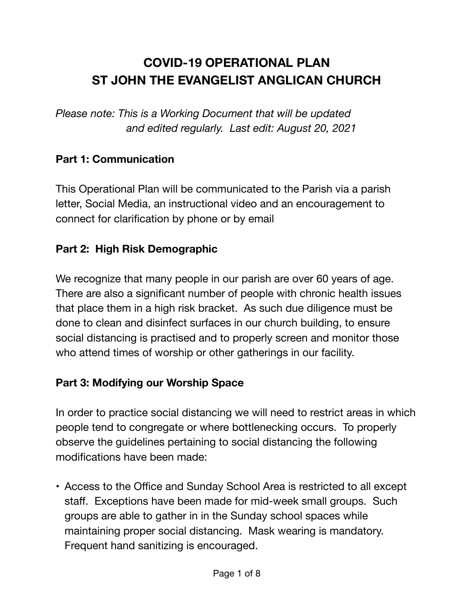# **COVID-19 OPERATIONAL PLAN ST JOHN THE EVANGELIST ANGLICAN CHURCH**

*Please note: This is a Working Document that will be updated and edited regularly. Last edit: August 20, 2021* 

## **Part 1: Communication**

This Operational Plan will be communicated to the Parish via a parish letter, Social Media, an instructional video and an encouragement to connect for clarification by phone or by email

#### **Part 2: High Risk Demographic**

We recognize that many people in our parish are over 60 years of age. There are also a significant number of people with chronic health issues that place them in a high risk bracket. As such due diligence must be done to clean and disinfect surfaces in our church building, to ensure social distancing is practised and to properly screen and monitor those who attend times of worship or other gatherings in our facility.

#### **Part 3: Modifying our Worship Space**

In order to practice social distancing we will need to restrict areas in which people tend to congregate or where bottlenecking occurs. To properly observe the guidelines pertaining to social distancing the following modifications have been made:

• Access to the Office and Sunday School Area is restricted to all except staff. Exceptions have been made for mid-week small groups. Such groups are able to gather in in the Sunday school spaces while maintaining proper social distancing. Mask wearing is mandatory. Frequent hand sanitizing is encouraged.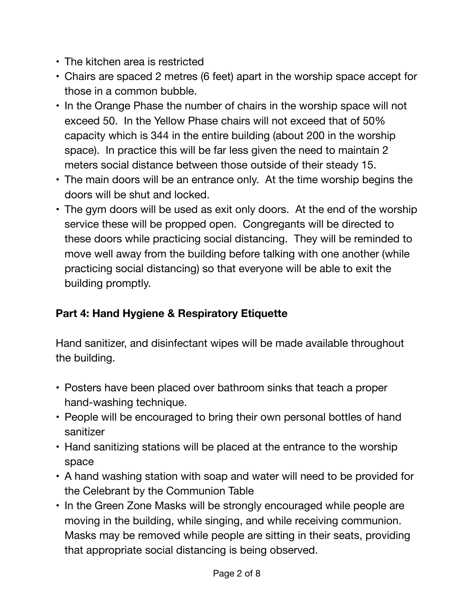- The kitchen area is restricted
- Chairs are spaced 2 metres (6 feet) apart in the worship space accept for those in a common bubble.
- In the Orange Phase the number of chairs in the worship space will not exceed 50. In the Yellow Phase chairs will not exceed that of 50% capacity which is 344 in the entire building (about 200 in the worship space). In practice this will be far less given the need to maintain 2 meters social distance between those outside of their steady 15.
- The main doors will be an entrance only. At the time worship begins the doors will be shut and locked.
- The gym doors will be used as exit only doors. At the end of the worship service these will be propped open. Congregants will be directed to these doors while practicing social distancing. They will be reminded to move well away from the building before talking with one another (while practicing social distancing) so that everyone will be able to exit the building promptly.

# **Part 4: Hand Hygiene & Respiratory Etiquette**

Hand sanitizer, and disinfectant wipes will be made available throughout the building.

- Posters have been placed over bathroom sinks that teach a proper hand-washing technique.
- People will be encouraged to bring their own personal bottles of hand sanitizer
- Hand sanitizing stations will be placed at the entrance to the worship space
- A hand washing station with soap and water will need to be provided for the Celebrant by the Communion Table
- In the Green Zone Masks will be strongly encouraged while people are moving in the building, while singing, and while receiving communion. Masks may be removed while people are sitting in their seats, providing that appropriate social distancing is being observed.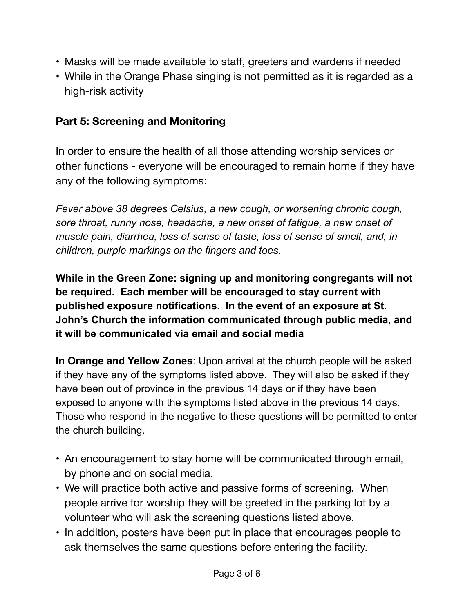- Masks will be made available to staff, greeters and wardens if needed
- While in the Orange Phase singing is not permitted as it is regarded as a high-risk activity

#### **Part 5: Screening and Monitoring**

In order to ensure the health of all those attending worship services or other functions - everyone will be encouraged to remain home if they have any of the following symptoms:

*Fever above 38 degrees Celsius, a new cough, or worsening chronic cough, sore throat, runny nose, headache, a new onset of fatigue, a new onset of muscle pain, diarrhea, loss of sense of taste, loss of sense of smell, and, in children, purple markings on the fingers and toes.*

**While in the Green Zone: signing up and monitoring congregants will not be required. Each member will be encouraged to stay current with published exposure notifications. In the event of an exposure at St. John's Church the information communicated through public media, and it will be communicated via email and social media** 

**In Orange and Yellow Zones**: Upon arrival at the church people will be asked if they have any of the symptoms listed above. They will also be asked if they have been out of province in the previous 14 days or if they have been exposed to anyone with the symptoms listed above in the previous 14 days. Those who respond in the negative to these questions will be permitted to enter the church building.

- An encouragement to stay home will be communicated through email, by phone and on social media.
- We will practice both active and passive forms of screening. When people arrive for worship they will be greeted in the parking lot by a volunteer who will ask the screening questions listed above.
- In addition, posters have been put in place that encourages people to ask themselves the same questions before entering the facility.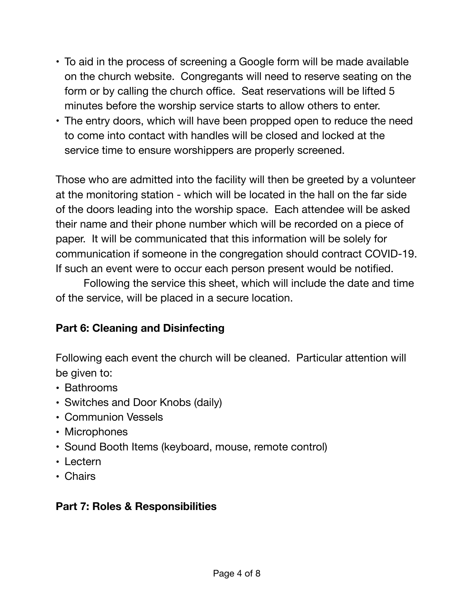- To aid in the process of screening a Google form will be made available on the church website. Congregants will need to reserve seating on the form or by calling the church office. Seat reservations will be lifted 5 minutes before the worship service starts to allow others to enter.
- The entry doors, which will have been propped open to reduce the need to come into contact with handles will be closed and locked at the service time to ensure worshippers are properly screened.

Those who are admitted into the facility will then be greeted by a volunteer at the monitoring station - which will be located in the hall on the far side of the doors leading into the worship space. Each attendee will be asked their name and their phone number which will be recorded on a piece of paper. It will be communicated that this information will be solely for communication if someone in the congregation should contract COVID-19. If such an event were to occur each person present would be notified.

Following the service this sheet, which will include the date and time of the service, will be placed in a secure location.

# **Part 6: Cleaning and Disinfecting**

Following each event the church will be cleaned. Particular attention will be given to:

- **•** Bathrooms
- **•** Switches and Door Knobs (daily)
- **•** Communion Vessels
- **•** Microphones
- **•** Sound Booth Items (keyboard, mouse, remote control)
- **•** Lectern
- **•** Chairs

#### **Part 7: Roles & Responsibilities**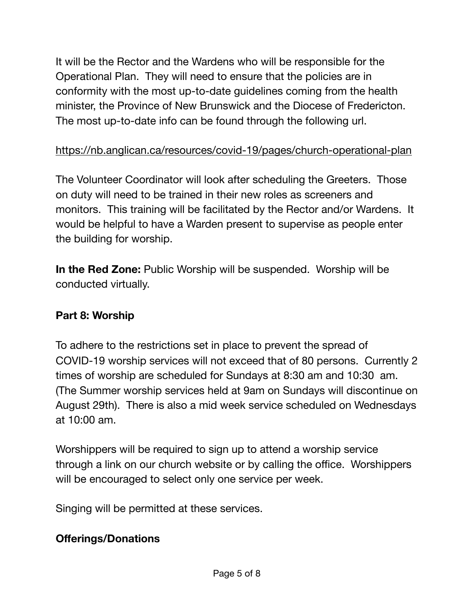It will be the Rector and the Wardens who will be responsible for the Operational Plan. They will need to ensure that the policies are in conformity with the most up-to-date guidelines coming from the health minister, the Province of New Brunswick and the Diocese of Fredericton. The most up-to-date info can be found through the following url.

#### <https://nb.anglican.ca/resources/covid-19/pages/church-operational-plan>

The Volunteer Coordinator will look after scheduling the Greeters. Those on duty will need to be trained in their new roles as screeners and monitors. This training will be facilitated by the Rector and/or Wardens. It would be helpful to have a Warden present to supervise as people enter the building for worship.

**In the Red Zone:** Public Worship will be suspended. Worship will be conducted virtually.

#### **Part 8: Worship**

To adhere to the restrictions set in place to prevent the spread of COVID-19 worship services will not exceed that of 80 persons. Currently 2 times of worship are scheduled for Sundays at 8:30 am and 10:30 am. (The Summer worship services held at 9am on Sundays will discontinue on August 29th). There is also a mid week service scheduled on Wednesdays at 10:00 am.

Worshippers will be required to sign up to attend a worship service through a link on our church website or by calling the office. Worshippers will be encouraged to select only one service per week.

Singing will be permitted at these services.

#### **Offerings/Donations**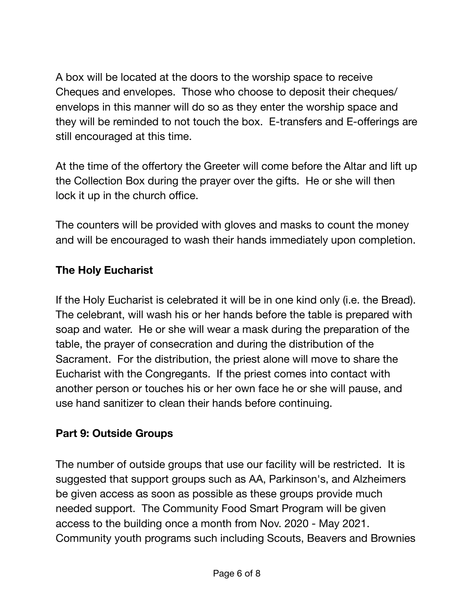A box will be located at the doors to the worship space to receive Cheques and envelopes. Those who choose to deposit their cheques/ envelops in this manner will do so as they enter the worship space and they will be reminded to not touch the box. E-transfers and E-offerings are still encouraged at this time.

At the time of the offertory the Greeter will come before the Altar and lift up the Collection Box during the prayer over the gifts. He or she will then lock it up in the church office.

The counters will be provided with gloves and masks to count the money and will be encouraged to wash their hands immediately upon completion.

## **The Holy Eucharist**

If the Holy Eucharist is celebrated it will be in one kind only (i.e. the Bread). The celebrant, will wash his or her hands before the table is prepared with soap and water. He or she will wear a mask during the preparation of the table, the prayer of consecration and during the distribution of the Sacrament. For the distribution, the priest alone will move to share the Eucharist with the Congregants. If the priest comes into contact with another person or touches his or her own face he or she will pause, and use hand sanitizer to clean their hands before continuing.

#### **Part 9: Outside Groups**

The number of outside groups that use our facility will be restricted. It is suggested that support groups such as AA, Parkinson's, and Alzheimers be given access as soon as possible as these groups provide much needed support. The Community Food Smart Program will be given access to the building once a month from Nov. 2020 - May 2021. Community youth programs such including Scouts, Beavers and Brownies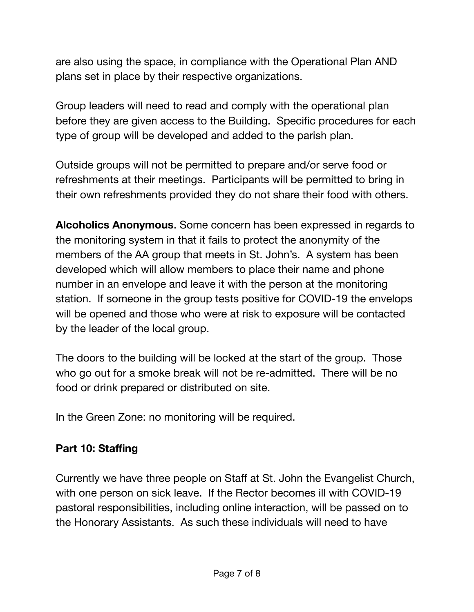are also using the space, in compliance with the Operational Plan AND plans set in place by their respective organizations.

Group leaders will need to read and comply with the operational plan before they are given access to the Building. Specific procedures for each type of group will be developed and added to the parish plan.

Outside groups will not be permitted to prepare and/or serve food or refreshments at their meetings. Participants will be permitted to bring in their own refreshments provided they do not share their food with others.

**Alcoholics Anonymous**. Some concern has been expressed in regards to the monitoring system in that it fails to protect the anonymity of the members of the AA group that meets in St. John's. A system has been developed which will allow members to place their name and phone number in an envelope and leave it with the person at the monitoring station. If someone in the group tests positive for COVID-19 the envelops will be opened and those who were at risk to exposure will be contacted by the leader of the local group.

The doors to the building will be locked at the start of the group. Those who go out for a smoke break will not be re-admitted. There will be no food or drink prepared or distributed on site.

In the Green Zone: no monitoring will be required.

#### **Part 10: Staffing**

Currently we have three people on Staff at St. John the Evangelist Church, with one person on sick leave. If the Rector becomes ill with COVID-19 pastoral responsibilities, including online interaction, will be passed on to the Honorary Assistants. As such these individuals will need to have